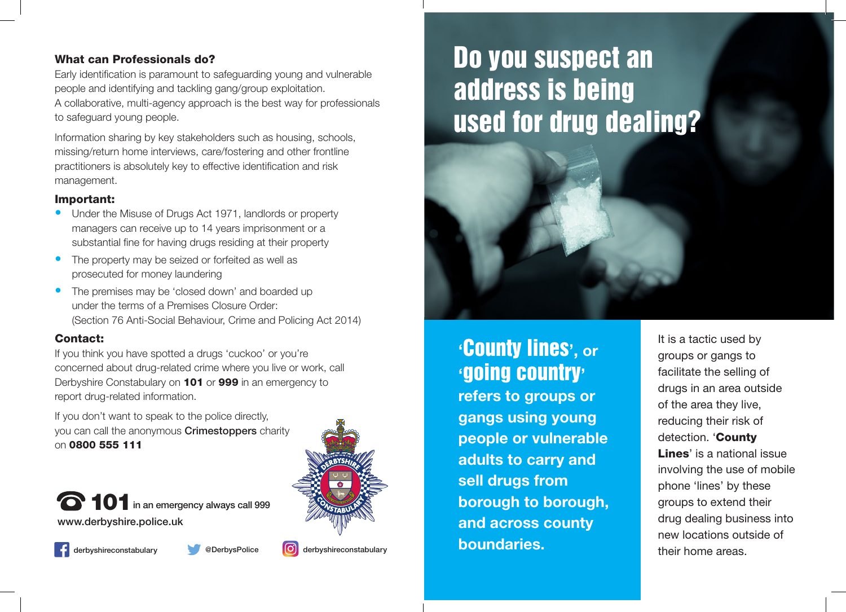### What can Professionals do?

Early identification is paramount to safeguarding young and vulnerable people and identifying and tackling gang/group exploitation. A collaborative, multi-agency approach is the best way for professionals to safeguard young people.

Information sharing by key stakeholders such as housing, schools, missing/return home interviews, care/fostering and other frontline practitioners is absolutely key to effective identification and risk management.

### Important:

- Under the Misuse of Drugs Act 1971, landlords or property managers can receive up to 14 years imprisonment or a substantial fine for having drugs residing at their property
- The property may be seized or forfeited as well as prosecuted for money laundering
- The premises may be 'closed down' and boarded up under the terms of a Premises Closure Order: (Section 76 Anti-Social Behaviour, Crime and Policing Act 2014)

### Contact:

If you think you have spotted a drugs 'cuckoo' or you're concerned about drug-related crime where you live or work, call Derbyshire Constabulary on 101 or 999 in an emergency to report drug-related information.

If you don't want to speak to the police directly, you can call the anonymous **Crimestoppers** charity on 0800 555 111

www.derbyshire.police.uk 101 in an emergency always call 999



derbyshireconstabulary **@DerbysPolice** (O) derbyshireconstabulary

# Do you suspect an address is being used for drug dealing?

## **'**County lines**', or '**going country**'**

**refers to groups or gangs using young people or vulnerable adults to carry and sell drugs from borough to borough, and across county boundaries.** 

It is a tactic used by groups or gangs to facilitate the selling of drugs in an area outside of the area they live, reducing their risk of detection. 'County Lines' is a national issue involving the use of mobile phone 'lines' by these groups to extend their drug dealing business into new locations outside of their home areas.